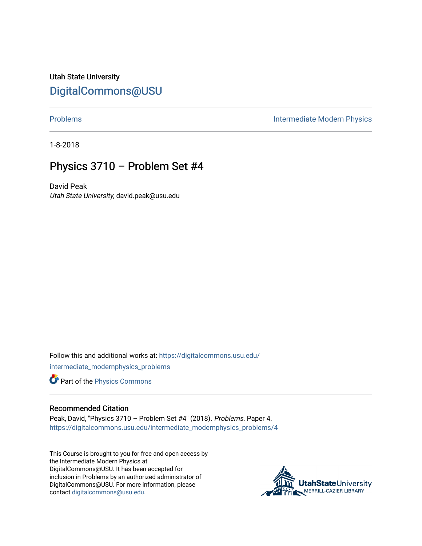Utah State University [DigitalCommons@USU](https://digitalcommons.usu.edu/)

[Problems](https://digitalcommons.usu.edu/intermediate_modernphysics_problems) **Intermediate Modern Physics** 

1-8-2018

## Physics 3710 – Problem Set #4

David Peak Utah State University, david.peak@usu.edu

Follow this and additional works at: [https://digitalcommons.usu.edu/](https://digitalcommons.usu.edu/intermediate_modernphysics_problems?utm_source=digitalcommons.usu.edu%2Fintermediate_modernphysics_problems%2F4&utm_medium=PDF&utm_campaign=PDFCoverPages) [intermediate\\_modernphysics\\_problems](https://digitalcommons.usu.edu/intermediate_modernphysics_problems?utm_source=digitalcommons.usu.edu%2Fintermediate_modernphysics_problems%2F4&utm_medium=PDF&utm_campaign=PDFCoverPages)

Part of the [Physics Commons](http://network.bepress.com/hgg/discipline/193?utm_source=digitalcommons.usu.edu%2Fintermediate_modernphysics_problems%2F4&utm_medium=PDF&utm_campaign=PDFCoverPages)

## Recommended Citation

Peak, David, "Physics 3710 – Problem Set #4" (2018). Problems. Paper 4. [https://digitalcommons.usu.edu/intermediate\\_modernphysics\\_problems/4](https://digitalcommons.usu.edu/intermediate_modernphysics_problems/4?utm_source=digitalcommons.usu.edu%2Fintermediate_modernphysics_problems%2F4&utm_medium=PDF&utm_campaign=PDFCoverPages)

This Course is brought to you for free and open access by the Intermediate Modern Physics at DigitalCommons@USU. It has been accepted for inclusion in Problems by an authorized administrator of DigitalCommons@USU. For more information, please contact [digitalcommons@usu.edu](mailto:digitalcommons@usu.edu).